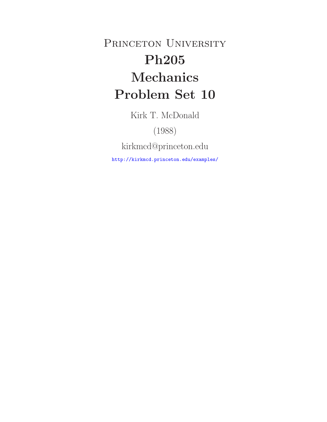PRINCETON UNIVERSITY **Ph205 Mechanics Problem Set 10**

Kirk T. McDonald

(1988)

kirkmcd@princeton.edu

http://kirkmcd.princeton.edu/examples/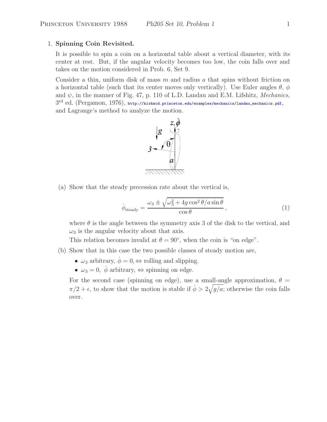# 1. **Spinning Coin Revisited.**

It is possible to spin a coin on a horizontal table about a vertical diameter, with its center at rest. But, if the angular velocity becomes too low, the coin falls over and takes on the motion considered in Prob. 6, Set 9.

Consider a thin, uniform disk of mass  $m$  and radius  $a$  that spins without friction on a horizontal table (such that its center moves only vertically). Use Euler angles  $\theta$ ,  $\phi$ and  $\psi$ , in the manner of Fig. 47, p. 110 of L.D. Landau and E.M. Lifshitz, Mechanics,  $3^{\rm rd}$  ed. (Pergamon, 1976), http://kirkmcd.princeton.edu/examples/mechanics/landau\_mechanics.pdf, and Lagrange's method to analyze the motion.



(a) Show that the steady precession rate about the vertical is,

$$
\dot{\phi}_{\text{steady}} = \frac{\omega_3 \pm \sqrt{\omega_3^2 + 4g\cos^2\theta/a\sin\theta}}{\cos\theta},\tag{1}
$$

where  $\theta$  is the angle between the symmetry axis 3 of the disk to the vertical, and  $\omega_3$  is the angular velocity about that axis.

This relation becomes invalid at  $\theta = 90^{\circ}$ , when the coin is "on edge".

- (b) Show that in this case the two possible classes of steady motion are,
	- $\omega_3$  arbitrary,  $\dot{\phi} = 0, \Leftrightarrow$  rolling and slipping.
	- $\omega_3 = 0$ ,  $\dot{\phi}$  arbitrary,  $\Leftrightarrow$  spinning on edge.

For the second case (spinning on edge), use a small-angle approximation,  $\theta =$  $\pi/2 + \epsilon$ , to show that the motion is stable if  $\dot{\phi} > 2\sqrt{g/a}$ ; otherwise the coin falls over.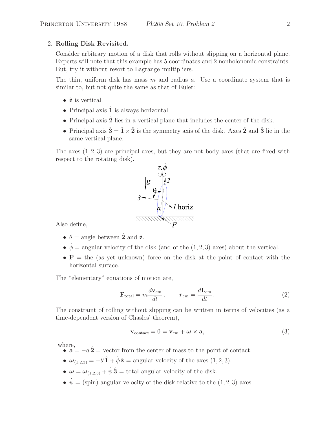### 2. **Rolling Disk Revisited.**

Consider arbitrary motion of a disk that rolls without slipping on a horizontal plane. Experts will note that this example has 5 coordinates and 2 nonholonomic constraints. But, try it without resort to Lagrange multipliers.

The thin, uniform disk has mass  $m$  and radius  $a$ . Use a coordinate system that is similar to, but not quite the same as that of Euler:

- ˆ**z** is vertical.
- Principal axis  $\hat{1}$  is always horizontal.
- Principal axis 2 lies in a vertical plane that includes the center of the disk.
- Principal axis  $\hat{\mathbf{3}} = \hat{\mathbf{1}} \times \hat{\mathbf{2}}$  is the symmetry axis of the disk. Axes  $\hat{\mathbf{2}}$  and  $\hat{\mathbf{3}}$  lie in the same vertical plane.

The axes  $(1, 2, 3)$  are principal axes, but they are not body axes (that are fixed with respect to the rotating disk).



Also define,

- $\theta = \text{angle between } \hat{\mathbf{2}} \text{ and } \hat{\mathbf{z}}.$
- $\dot{\phi}$  = angular velocity of the disk (and of the (1, 2, 3) axes) about the vertical.
- **= the (as yet unknown) force on the disk at the point of contact with the** horizontal surface.

The "elementary" equations of motion are,

$$
\mathbf{F}_{\text{total}} = m \frac{d\mathbf{v}_{\text{cm}}}{dt}, \qquad \boldsymbol{\tau}_{\text{cm}} = \frac{d\mathbf{L}_{\text{cm}}}{dt}.
$$
 (2)

The constraint of rolling without slipping can be written in terms of velocities (as a time-dependent version of Chasles' theorem),

$$
\mathbf{v}_{\text{contact}} = 0 = \mathbf{v}_{\text{cm}} + \boldsymbol{\omega} \times \mathbf{a},\tag{3}
$$

where,

- $\mathbf{a} = -a\,\hat{\mathbf{2}} = \text{vector from the center of mass to the point of the center.}$
- $\omega_{(1,2,3)} = -\dot{\theta}\,\hat{\mathbf{1}} + \dot{\phi}\,\hat{\mathbf{z}} = \text{angular velocity of the axes } (1,2,3).$
- $\omega = \omega_{(1,2,3)} + \dot{\psi} \hat{3} =$  total angular velocity of the disk.
- $\dot{\psi} = (\text{spin})$  angular velocity of the disk relative to the (1, 2, 3) axes.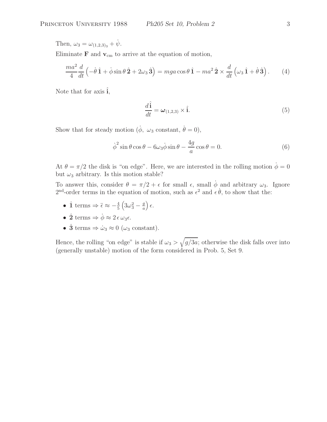Then,  $\omega_3 = \omega_{(1,2,3)_3} + \dot{\psi}$ .

Eliminate  $\bf{F}$  and  $\bf{v}_{cm}$  to arrive at the equation of motion,

$$
\frac{ma^2}{4}\frac{d}{dt}\left(-\dot{\theta}\,\hat{\mathbf{1}}+\dot{\phi}\sin\theta\,\hat{\mathbf{2}}+2\omega_3\,\hat{\mathbf{3}}\right)=mga\cos\theta\,\hat{\mathbf{1}}-ma^2\,\hat{\mathbf{2}}\times\frac{d}{dt}\left(\omega_3\,\hat{\mathbf{1}}+\dot{\theta}\,\hat{\mathbf{3}}\right). \tag{4}
$$

Note that for axis  $\hat{\mathbf{i}}$ ,

$$
\frac{d\hat{\mathbf{i}}}{dt} = \boldsymbol{\omega}_{(1,2,3)} \times \hat{\mathbf{i}}.\tag{5}
$$

Show that for steady motion  $(\dot{\phi}, \omega_3 \text{ constant}, \dot{\theta} = 0),$ 

$$
\dot{\phi}^2 \sin \theta \cos \theta - 6\omega_3 \dot{\phi} \sin \theta - \frac{4g}{a} \cos \theta = 0.
$$
 (6)

At  $\theta = \pi/2$  the disk is "on edge". Here, we are interested in the rolling motion  $\dot{\phi} = 0$ but  $\omega_3$  arbitrary. Is this motion stable?

To answer this, consider  $\theta = \pi/2 + \epsilon$  for small  $\epsilon$ , small  $\dot{\phi}$  and arbitrary  $\omega_3$ . Ignore 2<sup>nd</sup>-order terms in the equation of motion, such as  $\epsilon^2$  and  $\epsilon \dot{\theta}$ , to show that the:

- $\hat{1}$  terms  $\Rightarrow \ddot{\epsilon} \approx -\frac{4}{5} \left(3\omega_3^2 \frac{g}{a}\right) \epsilon.$
- $\hat{\mathbf{2}}$  terms  $\Rightarrow \phi \approx 2 \epsilon \omega_3 \epsilon$ .
- $\hat{3}$  terms  $\Rightarrow \dot{\omega}_3 \approx 0$  ( $\omega_3$  constant).

Hence, the rolling "on edge" is stable if  $\omega_3 > \sqrt{g/3a}$ ; otherwise the disk falls over into (generally unstable) motion of the form considered in Prob. 5, Set 9.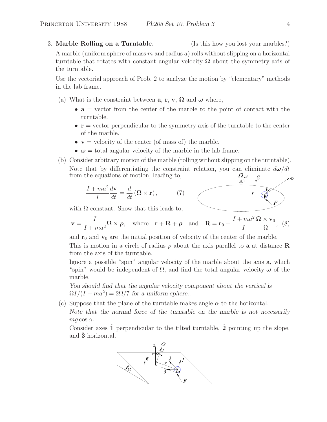3. **Marble Rolling on a Turntable.** (Is this how you lost your marbles?)

A marble (uniform sphere of mass m and radius a) rolls without slipping on a horizontal turntable that rotates with constant angular velocity  $\Omega$  about the symmetry axis of the turntable.

Use the vectorial approach of Prob. 2 to analyze the motion by "elementary" methods in the lab frame.

- (a) What is the constraint between **a**, **r**, **v**,  $\Omega$  and  $\omega$  where,
	- $\bullet$  **a** = vector from the center of the marble to the point of contact with the turntable.
	- **r** = vector perpendicular to the symmetry axis of the turntable to the center of the marble.
	- $v =$  velocity of the center (of mass of) the marble.
	- $\omega$  = total angular velocity of the marble in the lab frame.
- (b) Consider arbitrary motion of the marble (rolling without slipping on the turntable). Note that by differentiating the constraint relation, you can eliminate  $d\omega/dt$ from the equations of motion, leading to,  $\Omega_{z}$

$$
\frac{I + ma^2}{I} \frac{d\mathbf{v}}{dt} = \frac{d}{dt} (\mathbf{\Omega} \times \mathbf{r}), \quad (7)
$$

with  $\Omega$  constant. Show that this leads to,

$$
\mathbf{v} = \frac{I}{I + ma^2} \mathbf{\Omega} \times \boldsymbol{\rho}, \text{ where } \mathbf{r} + \mathbf{R} + \boldsymbol{\rho} \text{ and } \mathbf{R} = \mathbf{r}_0 + \frac{I + ma^2}{I} \frac{\mathbf{\Omega} \times \mathbf{v}_0}{\Omega}, \tag{8}
$$

and  $\mathbf{r}_0$  and  $\mathbf{v}_0$  are the initial position of velocity of the center of the marble. This is motion in a circle of radius  $\rho$  about the axis parallel to **a** at distance **R** from the axis of the turntable.

Ignore a possible "spin" angular velocity of the marble about the axis **a**, which "spin" would be independent of Ω, and find the total angular velocity *ω* of the marble.

*You should find that the angular velocity component about the vertical is*  $\Omega I/(I + m a^2) = 2\Omega/7$  for a uniform sphere...

(c) Suppose that the plane of the turntable makes angle  $\alpha$  to the horizontal. *Note that the normal force of the turntable on the marble is not necessarily*  $mq \cos \alpha$ .

Consider axes  $\hat{1}$  perpendicular to the tilted turntable,  $\hat{2}$  pointing up the slope, and **3**ˆ horizontal.

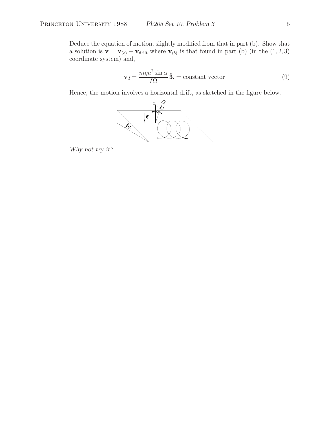Deduce the equation of motion, slightly modified from that in part (b). Show that a solution is  $\mathbf{v} = \mathbf{v}_{(b)} + \mathbf{v}_{\text{drift}}$  where  $\mathbf{v}_{(b)}$  is that found in part (b) (in the (1, 2, 3) coordinate system) and,

$$
\mathbf{v}_d = \frac{mga^2 \sin \alpha}{I\Omega} \,\hat{\mathbf{3}}.\, = \text{constant vector} \tag{9}
$$

Hence, the motion involves a horizontal drift, as sketched in the figure below.



*Why not try it?*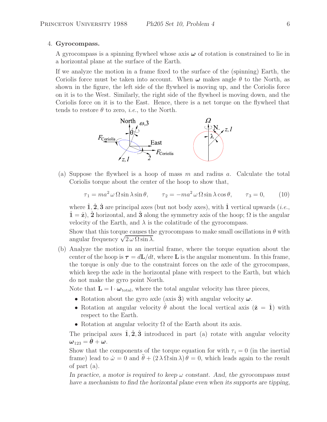#### 4. **Gyrocompass.**

A gyrocompass is a spinning flywheel whose axis *ω* of rotation is constrained to lie in a horizontal plane at the surface of the Earth.

If we analyze the motion in a frame fixed to the surface of the (spinning) Earth, the Coriolis force must be taken into account. When  $\omega$  makes angle  $\theta$  to the North, as shown in the figure, the left side of the flywheel is moving up, and the Coriolis force on it is to the West. Similarly, the right side of the flywheel is moving down, and the Coriolis force on it is to the East. Hence, there is a net torque on the flywheel that tends to restore  $\theta$  to zero, *i.e.*, to the North.



(a) Suppose the flywheel is a hoop of mass  $m$  and radius  $a$ . Calculate the total Coriolis torque about the center of the hoop to show that,

$$
\tau_1 = ma^2 \omega \Omega \sin \lambda \sin \theta, \qquad \tau_2 = -ma^2 \omega \Omega \sin \lambda \cos \theta, \qquad \tau_3 = 0,
$$
 (10)

where  $\hat{\mathbf{1}}, \hat{\mathbf{2}}, \hat{\mathbf{3}}$  are principal axes (but not body axes), with  $\hat{\mathbf{1}}$  vertical upwards (*i.e.*,  $\hat{\mathbf{1}} = \hat{\mathbf{z}}$ ),  $\hat{\mathbf{2}}$  horizontal, and  $\hat{\mathbf{3}}$  along the symmetry axis of the hoop;  $\Omega$  is the angular velocity of the Earth, and  $\lambda$  is the colatitude of the gyrocompass.

Show that this torque causes the gyrocompass to make small oscillations in  $\theta$  with angular frequency  $\sqrt{2\omega\Omega\sin\lambda}$ .

(b) Analyze the motion in an inertial frame, where the torque equation about the center of the hoop is  $\tau = d\mathbf{L}/dt$ , where **L** is the angular momentum. In this frame, the torque is only due to the constraint forces on the axle of the gyrocompass, which keep the axle in the horizontal plane with respect to the Earth, but which do not make the gyro point North.

Note that  $\mathbf{L} = \mathbf{I} \cdot \boldsymbol{\omega}_{\text{total}}$ , where the total angular velocity has three pieces,

- Rotation about the gyro axle (axis  $\hat{3}$ ) with angular velocity  $\omega$ .
- Rotation at angular velocity  $\dot{\theta}$  about the local vertical axis  $(\hat{\mathbf{z}} = \hat{\mathbf{1}})$  with respect to the Earth.
- Rotation at angular velocity  $\Omega$  of the Earth about its axis.

The principal axes  $\hat{1}, \hat{2}, \hat{3}$  introduced in part (a) rotate with angular velocity  $\omega_{123} = \theta + \omega$ .

Show that the components of the torque equation for with  $\tau_i = 0$  (in the inertial frame) lead to  $\dot{\omega} = 0$  and  $\ddot{\theta} + (2 \lambda \Omega \sin \lambda) \theta = 0$ , which leads again to the result of part (a).

*In practice, a motor is required to keep* ω *constant. And, the gyrocompass must have a mechanism to find the horizontal plane even when its supports are tipping,*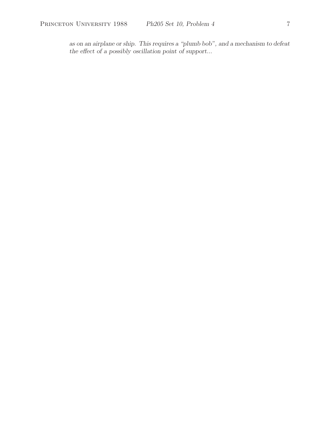*as on an airplane or ship. This requires a "plumb bob", and a mechanism to defeat the effect of a possibly oscillation point of support...*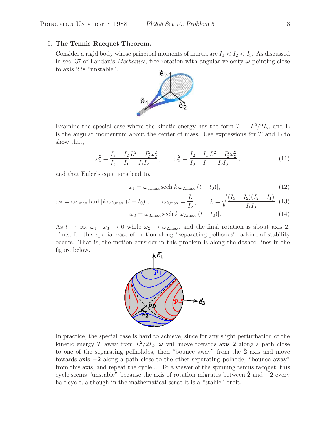## 5. **The Tennis Racquet Theorem.**

Consider a rigid body whose principal moments of inertia are  $I_1 < I_2 < I_3$ . As discussed in sec. 37 of Landau's *Mechanics*, free rotation with angular velocity *ω* pointing close to axis 2 is "unstable".



Examine the special case where the kinetic energy has the form  $T = L^2/2I_2$ , and **L** is the angular momentum about the center of mass. Use expressions for T and **L** to show that,

$$
\omega_1^2 = \frac{I_3 - I_2}{I_3 - I_1} \frac{L^2 - I_2^2 \omega_2^2}{I_1 I_2} , \qquad \omega_3^2 = \frac{I_2 - I_1}{I_3 - I_1} \frac{L^2 - I_2^2 \omega_2^2}{I_2 I_3} , \tag{11}
$$

and that Euler's equations lead to,

$$
\omega_1 = \omega_{1,\text{max}} \operatorname{sech}[k \,\omega_{2,\text{max}}\,(t - t_0)],\tag{12}
$$

$$
\omega_2 = \omega_{2,\text{max}} \tanh[k \,\omega_{2,\text{max}} \,(t - t_0)], \qquad \omega_{2,\text{max}} = \frac{L}{I_2}, \qquad k = \sqrt{\frac{(I_3 - I_2)(I_2 - I_1)}{I_1 I_3}}, (13)
$$

$$
\omega_3 = \omega_{3,\text{max}} \operatorname{sech}[k \,\omega_{2,\text{max}} \,(t - t_0)]. \tag{14}
$$

As  $t \to \infty$ ,  $\omega_1$ ,  $\omega_3 \to 0$  while  $\omega_2 \to \omega_{2,\text{max}}$ , and the final rotation is about axis 2. Thus, for this special case of motion along "separating polhodes", a kind of stability occurs. That is, the motion consider in this problem is along the dashed lines in the figure below.



In practice, the special case is hard to achieve, since for any slight perturbation of the kinetic energy T away from  $L^2/2I_2$ ,  $\omega$  will move towards axis 2 along a path close to one of the separating polhohdes, then "bounce away" from the **2**ˆ axis and move towards axis <sup>−</sup>**2**<sup>ˆ</sup> along a path close to the other separating polhode, "bounce away" from this axis, and repeat the cycle.... To a viewer of the spinning tennis racquet, this cycle seems "unstable" because the axis of rotation migrates between **2** and  $\overline{-2}$  every half cycle, although in the mathematical sense it is a "stable" orbit.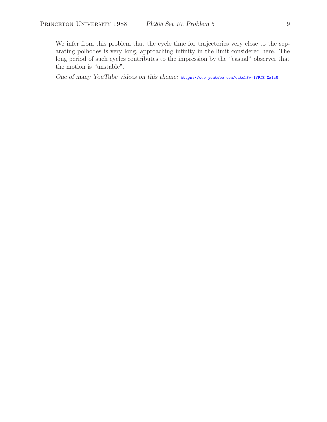We infer from this problem that the cycle time for trajectories very close to the separating polhodes is very long, approaching infinity in the limit considered here. The long period of such cycles contributes to the impression by the "casual" observer that the motion is "unstable".

*One of many YouTube videos on this theme:* https://www.youtube.com/watch?v=1VPfZ\_XzisU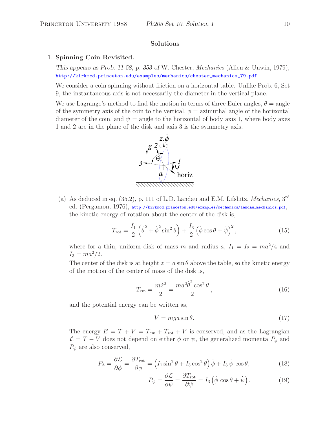## **Solutions**

#### 1. **Spinning Coin Revisited.**

*This appears as Prob. 11-58, p. 353 of* W. Chester, *Mechanics* (Allen & Unwin, 1979), http://kirkmcd.princeton.edu/examples/mechanics/chester\_mechanics\_79.pdf

We consider a coin spinning without friction on a horizontal table. Unlike Prob. 6, Set 9, the instantaneous axis is not necessarily the diameter in the vertical plane.

We use Lagrange's method to find the motion in terms of three Euler angles,  $\theta = \text{angle}$ of the symmetry axis of the coin to the vertical,  $\phi =$  azimuthal angle of the horizontal diameter of the coin, and  $\psi = \text{angle to the horizontal of body axis 1, where body axes}$ 1 and 2 are in the plane of the disk and axis 3 is the symmetry axis.



(a) As deduced in eq. (35.2), p. 111 of L.D. Landau and E.M. Lifshitz, *Mechanics*, 3rd ed. (Pergamon, 1976), http://kirkmcd.princeton.edu/examples/mechanics/landau\_mechanics.pdf, the kinetic energy of rotation about the center of the disk is,

$$
T_{\rm rot} = \frac{I_1}{2} \left( \dot{\theta}^2 + \dot{\phi}^2 \sin^2 \theta \right) + \frac{I_3}{2} \left( \dot{\phi} \cos \theta + \dot{\psi} \right)^2, \tag{15}
$$

where for a thin, uniform disk of mass m and radius a,  $I_1 = I_2 = ma^2/4$  and  $I_3 = ma^2/2$ .

The center of the disk is at height  $z = a \sin \theta$  above the table, so the kinetic energy of the motion of the center of mass of the disk is,

$$
T_{\rm cm} = \frac{m\dot{z}^2}{2} = \frac{ma^2\dot{\theta}^2\cos^2\theta}{2},
$$
\n(16)

and the potential energy can be written as,

$$
V = mga\sin\theta.\tag{17}
$$

The energy  $E = T + V = T_{cm} + T_{rot} + V$  is conserved, and as the Lagrangian  $\mathcal{L} = T - V$  does not depend on either  $\phi$  or  $\psi$ , the generalized momenta  $P_{\phi}$  and  $P_{\psi}$  are also conserved,

$$
P_{\phi} = \frac{\partial \mathcal{L}}{\partial \phi} = \frac{\partial T_{\text{rot}}}{\partial \phi} = \left( I_1 \sin^2 \theta + I_3 \cos^2 \theta \right) \dot{\phi} + I_3 \dot{\psi} \cos \theta, \tag{18}
$$

$$
P_{\psi} = \frac{\partial \mathcal{L}}{\partial \psi} = \frac{\partial T_{\text{rot}}}{\partial \psi} = I_3 \left( \dot{\phi} \cos \theta + \dot{\psi} \right). \tag{19}
$$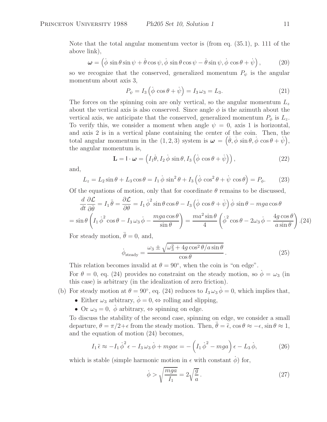Note that the total angular momentum vector is (from eq. (35.1), p. 111 of the above link),

$$
\boldsymbol{\omega} = \left( \dot{\phi} \sin \theta \sin \psi + \dot{\theta} \cos \psi, \dot{\phi} \sin \theta \cos \psi - \dot{\theta} \sin \psi, \dot{\phi} \cos \theta + \dot{\psi} \right), \tag{20}
$$

so we recognize that the conserved, generalized momentum  $P_{\psi}$  is the angular momentum about axis 3,

$$
P_{\psi} = I_3 \left( \dot{\phi} \cos \theta + \dot{\psi} \right) = I_3 \omega_3 = L_3. \tag{21}
$$

The forces on the spinning coin are only vertical, so the angular momentum  $L_z$ about the vertical axis is also conserved. Since angle  $\phi$  is the azimuth about the vertical axis, we anticipate that the conserved, generalized momentum  $P_{\phi}$  is  $L_z$ . To verify this, we consider a moment when angle  $\psi = 0$ , axis 1 is horizontal, and axis 2 is in a vertical plane containing the center of the coin. Then, the total angular momentum in the  $(1, 2, 3)$  system is  $\boldsymbol{\omega} = (\dot{\theta}, \dot{\phi} \sin \theta, \dot{\phi} \cos \theta + \dot{\psi}),$ the angular momentum is,

$$
\mathbf{L} = \mathbf{I} \cdot \boldsymbol{\omega} = \left( I_1 \dot{\theta}, I_2 \dot{\phi} \sin \theta, I_3 \left( \dot{\phi} \cos \theta + \dot{\psi} \right) \right), \tag{22}
$$

and,

$$
L_z = L_2 \sin \theta + L_3 \cos \theta = I_1 \dot{\phi} \sin^2 \theta + I_3 \left( \dot{\phi} \cos^2 \theta + \dot{\psi} \cos \theta \right) = P_{\phi}.
$$
 (23)

Of the equations of motion, only that for coordinate  $\theta$  remains to be discussed,

$$
\frac{d}{dt}\frac{\partial \mathcal{L}}{\partial \dot{\theta}} = I_1 \ddot{\theta} = \frac{\partial \mathcal{L}}{\partial \theta} = I_1 \dot{\phi}^2 \sin \theta \cos \theta - I_3 \left(\dot{\phi} \cos \theta + \dot{\psi}\right) \dot{\phi} \sin \theta - mga \cos \theta
$$
\n
$$
= \sin \theta \left(I_1 \dot{\phi}^2 \cos \theta - I_3 \omega_3 \dot{\phi} - \frac{mga \cos \theta}{\sin \theta}\right) = \frac{ma^2 \sin \theta}{4} \left(\dot{\phi}^2 \cos \theta - 2\omega_3 \dot{\phi} - \frac{4g \cos \theta}{a \sin \theta}\right). (24)
$$

For steady motion,  $\theta = 0$ , and,

$$
\dot{\phi}_{\text{steady}} = \frac{\omega_3 \pm \sqrt{\omega_3^2 + 4g\cos^2\theta/a\sin\theta}}{\cos\theta}.
$$
\n(25)

This relation becomes invalid at  $\theta = 90^{\circ}$ , when the coin is "on edge". For  $\theta = 0$ , eq. (24) provides no constraint on the steady motion, so  $\phi = \omega_3$  (in this case) is arbitrary (in the idealization of zero friction).

- (b) For steady motion at  $\theta = 90^{\circ}$ , eq. (24) reduces to  $I_3 \omega_3 \dot{\phi} = 0$ , which implies that,
	- Either  $\omega_3$  arbitrary,  $\dot{\phi} = 0, \Leftrightarrow$  rolling and slipping,
	- Or  $\omega_3 = 0$ ,  $\dot{\phi}$  arbitrary,  $\Leftrightarrow$  spinning on edge.

To discuss the stability of the second case, spinning on edge, we consider a small departure,  $\theta = \pi/2 + \epsilon$  from the steady motion. Then,  $\ddot{\theta} = \ddot{\epsilon}$ ,  $\cos \theta \approx -\epsilon$ ,  $\sin \theta \approx 1$ , and the equation of motion (24) becomes,

$$
I_1 \ddot{\epsilon} \approx -I_1 \dot{\phi}^2 \epsilon - I_3 \omega_3 \dot{\phi} + mga\epsilon = -\left(I_1 \dot{\phi}^2 - mga\right)\epsilon - L_3 \dot{\phi},\tag{26}
$$

which is stable (simple harmonic motion in  $\epsilon$  with constant  $\phi$ ) for,

$$
\dot{\phi} > \sqrt{\frac{mga}{I_1}} = 2\sqrt{\frac{g}{a}}.
$$
\n(27)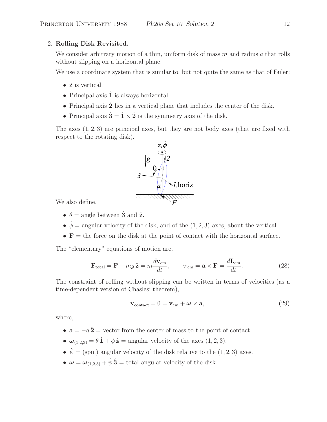# 2. **Rolling Disk Revisited.**

We consider arbitrary motion of a thin, uniform disk of mass  $m$  and radius a that rolls without slipping on a horizontal plane.

We use a coordinate system that is similar to, but not quite the same as that of Euler:

- ˆ**z** is vertical.
- Principal axis  $\hat{1}$  is always horizontal.
- Principal axis  $\hat{2}$  lies in a vertical plane that includes the center of the disk.
- Principal axis  $\hat{\mathbf{3}} = \hat{\mathbf{1}} \times \hat{\mathbf{2}}$  is the symmetry axis of the disk.

The axes  $(1, 2, 3)$  are principal axes, but they are not body axes (that are fixed with respect to the rotating disk).



We also define,

- $\theta = \text{angle between } \hat{\mathbf{3}} \text{ and } \hat{\mathbf{z}}.$
- $\dot{\phi}$  = angular velocity of the disk, and of the (1, 2, 3) axes, about the vertical.
- $\bullet$  **F** = the force on the disk at the point of contact with the horizontal surface.

The "elementary" equations of motion are,

$$
\mathbf{F}_{\text{total}} = \mathbf{F} - mg\,\hat{\mathbf{z}} = m\frac{d\mathbf{v}_{\text{cm}}}{dt}, \qquad \boldsymbol{\tau}_{\text{cm}} = \mathbf{a} \times \mathbf{F} = \frac{d\mathbf{L}_{\text{cm}}}{dt}.
$$
 (28)

The constraint of rolling without slipping can be written in terms of velocities (as a time-dependent version of Chasles' theorem),

$$
\mathbf{v}_{\text{contact}} = 0 = \mathbf{v}_{\text{cm}} + \boldsymbol{\omega} \times \mathbf{a},\tag{29}
$$

where,

- $\mathbf{a} = -a\,\hat{2} = \text{vector from the center of mass to the point of the constant.}$
- $\omega_{(1,2,3)} = \dot{\theta} \hat{\mathbf{1}} + \dot{\phi} \hat{\mathbf{z}} = \text{angular velocity of the axes } (1,2,3).$
- $\psi = (\text{spin})$  angular velocity of the disk relative to the  $(1, 2, 3)$  axes.
- $\omega = \omega_{(1,2,3)} + \dot{\psi} \hat{\mathbf{3}} =$  total angular velocity of the disk.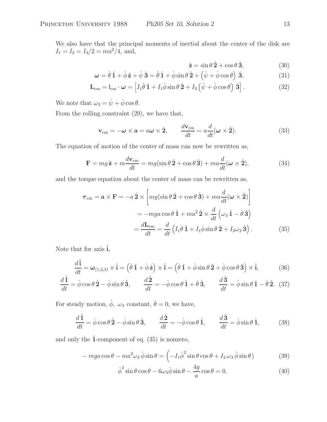We also have that the principal moments of inertial about the center of the disk are  $I_1 = I_2 = I_3/2 = ma^2/4$ , and,

$$
\hat{\mathbf{z}} = \sin \theta \,\hat{\mathbf{2}} + \cos \theta \,\hat{\mathbf{3}},\tag{30}
$$

$$
\omega = \dot{\theta}\,\hat{1} + \dot{\phi}\,\hat{z} + \dot{\psi}\,\hat{3} = \dot{\theta}\,\hat{1} + \dot{\phi}\sin\theta\,\hat{2} + \left(\dot{\psi} + \dot{\phi}\cos\theta\right)\,\hat{3},\tag{31}
$$

$$
\mathbf{L}_{\rm cm} = I_{\rm cm} \cdot \boldsymbol{\omega} = \left[ I_1 \dot{\theta} \, \hat{\mathbf{1}} + I_1 \dot{\phi} \sin \theta \, \hat{\mathbf{2}} + I_3 \left( \dot{\psi} + \dot{\phi} \cos \theta \right) \hat{\mathbf{3}} \right]. \tag{32}
$$

We note that  $\omega_3 = \dot{\psi} + \dot{\phi} \cos \theta$ .

From the rolling constraint (29), we have that,

$$
\mathbf{v}_{\rm cm} = -\boldsymbol{\omega} \times \mathbf{a} = a\boldsymbol{\omega} \times \hat{\mathbf{2}}, \qquad \frac{d\mathbf{v}_{\rm cm}}{dt} = a\frac{d}{dt}(\boldsymbol{\omega} \times \hat{\mathbf{2}}). \tag{33}
$$

The equation of motion of the center of mass can now be rewritten as,

$$
\mathbf{F} = mg\,\hat{\mathbf{z}} + m\frac{d\mathbf{v}_{\rm cm}}{dt} = mg(\sin\theta\,\hat{\mathbf{2}} + \cos\theta\,\hat{\mathbf{3}}) + ma\frac{d}{dt}(\boldsymbol{\omega}\times\hat{\mathbf{2}}),\tag{34}
$$

and the torque equation about the center of mass can be rewritten as,

$$
\boldsymbol{\tau}_{\rm cm} = \mathbf{a} \times \mathbf{F} = -a \,\hat{\mathbf{2}} \times \left[ mg(\sin \theta \,\hat{\mathbf{2}} + \cos \theta \,\hat{\mathbf{3}}) + ma \frac{d}{dt} (\boldsymbol{\omega} \times \hat{\mathbf{2}}) \right]
$$
  
= -mga \cos \theta \,\hat{\mathbf{1}} + ma^2 \,\hat{\mathbf{2}} \times \frac{d}{dt} (\omega\_3 \,\hat{\mathbf{1}} - \dot{\theta} \,\hat{\mathbf{3}})   
= \frac{d\mathbf{L}\_{\rm cm}}{dt} = \frac{d}{dt} (I\_1 \dot{\theta} \,\hat{\mathbf{1}} + I\_1 \dot{\phi} \sin \theta \,\hat{\mathbf{2}} + I\_3 \omega\_3 \,\hat{\mathbf{3}}). \tag{35}

Note that for axis  $\hat{\mathbf{i}}$ ,

$$
\frac{d\hat{\mathbf{i}}}{dt} = \boldsymbol{\omega}_{(1,2,3)} \times \hat{\mathbf{i}} = (\dot{\theta}\,\hat{\mathbf{1}} + \dot{\phi}\,\hat{\mathbf{z}}) \times \hat{\mathbf{i}} = (\dot{\theta}\,\hat{\mathbf{1}} + \dot{\phi}\sin\theta\,\hat{\mathbf{2}} + \dot{\phi}\cos\theta\,\hat{\mathbf{3}}) \times \hat{\mathbf{i}},\tag{36}
$$

$$
\frac{d\hat{\mathbf{1}}}{dt} = \dot{\phi}\cos\theta\,\hat{\mathbf{2}} - \dot{\phi}\sin\theta\,\hat{\mathbf{3}}, \qquad \frac{d\hat{\mathbf{2}}}{dt} = -\dot{\phi}\cos\theta\,\hat{\mathbf{1}} + \dot{\theta}\,\hat{\mathbf{3}}, \qquad \frac{d\hat{\mathbf{3}}}{dt} = \dot{\phi}\sin\theta\,\hat{\mathbf{1}} - \dot{\theta}\,\hat{\mathbf{2}}.\tag{37}
$$

For steady motion,  $\dot{\phi}$ ,  $\omega_3$  constant,  $\dot{\theta} = 0$ , we have,

$$
\frac{d\hat{\mathbf{1}}}{dt} = \dot{\phi}\cos\theta\,\hat{\mathbf{2}} - \dot{\phi}\sin\theta\,\hat{\mathbf{3}}, \qquad \frac{d\hat{\mathbf{2}}}{dt} = -\dot{\phi}\cos\theta\,\hat{\mathbf{1}}, \qquad \frac{d\hat{\mathbf{3}}}{dt} = \dot{\phi}\sin\theta\,\hat{\mathbf{1}}, \tag{38}
$$

and only the  $\hat{1}$ -component of eq.  $(35)$  is nonzero,

$$
- mga\cos\theta - ma^2\omega_3\dot{\phi}\sin\theta = \left(-I_1\dot{\phi}^2\sin\theta\cos\theta + I_3\omega_3\dot{\phi}\sin\theta\right)
$$
(39)

$$
\dot{\phi}^2 \sin \theta \cos \theta - 6\omega_3 \dot{\phi} \sin \theta - \frac{4g}{a} \cos \theta = 0.
$$
 (40)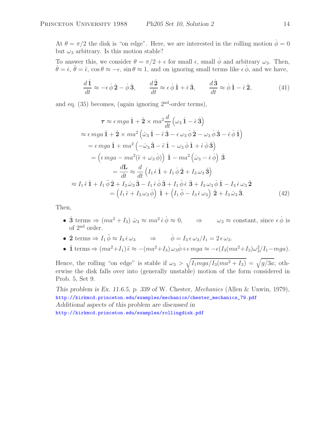At  $\theta = \pi/2$  the disk is "on edge". Here, we are interested in the rolling motion  $\dot{\phi} = 0$ but  $\omega_3$  arbitrary. Is this motion stable?

To answer this, we consider  $\theta = \pi/2 + \epsilon$  for small  $\epsilon$ , small  $\phi$  and arbitrary  $\omega_3$ . Then,  $\dot{\theta} = \dot{\epsilon}, \ddot{\theta} = \ddot{\epsilon}, \cos \theta \approx -\epsilon, \sin \theta \approx 1, \text{ and on ignoring small terms like } \epsilon \dot{\phi}, \text{ and we have,}$ 

$$
\frac{d\hat{1}}{dt} \approx -\epsilon \dot{\phi}\hat{2} - \dot{\phi}\hat{3}, \qquad \frac{d\hat{2}}{dt} \approx \epsilon \dot{\phi}\hat{1} + \dot{\epsilon}\hat{3}, \qquad \frac{d\hat{3}}{dt} \approx \dot{\phi}\hat{1} - \dot{\epsilon}\hat{2}, \tag{41}
$$

and eq.  $(35)$  becomes, (again ignoring  $2<sup>nd</sup>$ -order terms),

$$
\tau \approx \epsilon mga \hat{1} + \hat{2} \times ma^{2} \frac{d}{dt} \left(\omega_{3} \hat{1} - \dot{\epsilon} \hat{3}\right)
$$
  
\n
$$
\approx \epsilon mga \hat{1} + \hat{2} \times ma^{2} \left(\dot{\omega}_{3} \hat{1} - \ddot{\epsilon} \hat{3} - \epsilon \omega_{3} \dot{\phi} \hat{2} - \omega_{3} \dot{\phi} \hat{3} - \dot{\epsilon} \dot{\phi} \hat{1}\right)
$$
  
\n
$$
= \epsilon mga \hat{1} + ma^{2} \left(-\dot{\omega}_{3} \hat{3} - \ddot{\epsilon} \hat{1} - \omega_{3} \dot{\phi} \hat{1} + \dot{\epsilon} \dot{\phi} \hat{3}\right)
$$
  
\n
$$
= \left(\epsilon mga - ma^{2}(\ddot{\epsilon} + \omega_{3} \dot{\phi})) \hat{1} - ma^{2} \left(\dot{\omega}_{3} - \dot{\epsilon} \dot{\phi}\right) \hat{3}
$$
  
\n
$$
= \frac{d\mathbf{L}}{dt} \approx \frac{d}{dt} \left(I_{1} \dot{\epsilon} \hat{1} + I_{1} \dot{\phi} \hat{2} + I_{3} \omega_{3} \hat{3}\right)
$$
  
\n
$$
\approx I_{1} \ddot{\epsilon} \hat{1} + I_{1} \ddot{\phi} \hat{2} + I_{3} \dot{\omega}_{3} \hat{3} - I_{1} \dot{\epsilon} \dot{\phi} \hat{3} + I_{1} \dot{\phi} \dot{\epsilon} \hat{3} + I_{3} \omega_{3} \dot{\phi} \hat{1} - I_{3} \dot{\epsilon} \omega_{3} \hat{2}
$$
  
\n
$$
= \left(I_{1} \ddot{\epsilon} + I_{3} \omega_{3} \dot{\phi}\right) \hat{1} + \left(I_{1} \ddot{\phi} - I_{3} \dot{\epsilon} \omega_{3}\right) \hat{2} + I_{3} \dot{\omega}_{3} \hat{3}.
$$
 (42)

Then,

- $\hat{3}$  terms  $\Rightarrow$   $(ma^2 + I_3) \dot{\omega}_3 \approx ma^2 \dot{\epsilon} \dot{\phi} \approx 0$ ,  $\Rightarrow \omega_3 \approx \text{constant}$ , since  $\epsilon \dot{\phi}$  is of 2nd order.
- $\hat{\mathbf{2}}$  terms  $\Rightarrow I_1 \ddot{\phi} \approx I_3 \dot{\epsilon} \omega_3 \Rightarrow \dot{\phi} = I_3 \epsilon \omega_3 / I_1 = 2 \epsilon \omega_3.$
- $\hat{1}$  terms  $\Rightarrow$   $(ma^2+I_1)\tilde{\epsilon} \approx -(ma^2+I_3)\omega_3\dot{\phi} + \epsilon mga \approx -\epsilon(I_3(ma^2+I_3)\omega_3^2/I_1-mga).$

Hence, the rolling "on edge" is stable if  $\omega_3 > \sqrt{I_1 m g a / I_3 (m a^2 + I_3)} = \sqrt{g/3a}$ ; otherwise the disk falls over into (generally unstable) motion of the form considered in Prob. 5, Set 9.

*This problem is Ex. 11.6.5, p. 339 of* W. Chester, *Mechanics* (Allen & Unwin, 1979), http://kirkmcd.princeton.edu/examples/mechanics/chester\_mechanics\_79.pdf *Additional aspects of this problem are discussed in* http://kirkmcd.princeton.edu/examples/rollingdisk.pdf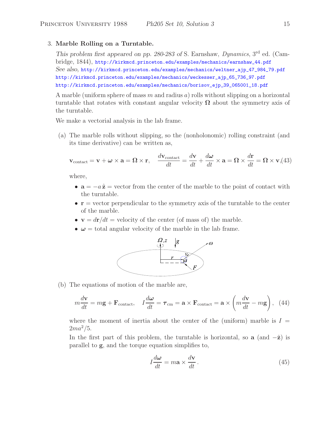### 3. **Marble Rolling on a Turntable.**

*This problem first appeared on pp. 280-283 of* S. Earnshaw, *Dynamics*, 3rd ed. (Cambridge, 1844), http://kirkmcd.princeton.edu/examples/mechanics/earnshaw\_44.pdf *See also,* http://kirkmcd.princeton.edu/examples/mechanics/weltner\_ajp\_47\_984\_79.pdf http://kirkmcd.princeton.edu/examples/mechanics/weckesser\_ajp\_65\_736\_97.pdf http://kirkmcd.princeton.edu/examples/mechanics/borisov\_ejp\_39\_065001\_18.pdf

A marble (uniform sphere of mass m and radius a) rolls without slipping on a horizontal turntable that rotates with constant angular velocity **Ω** about the symmetry axis of the turntable.

We make a vectorial analysis in the lab frame.

(a) The marble rolls without slipping, so the (nonholonomic) rolling constraint (and its time derivative) can be written as,

$$
\mathbf{v}_{\text{contact}} = \mathbf{v} + \boldsymbol{\omega} \times \mathbf{a} = \boldsymbol{\Omega} \times \mathbf{r}, \quad \frac{d\mathbf{v}_{\text{contact}}}{dt} = \frac{d\mathbf{v}}{dt} + \frac{d\boldsymbol{\omega}}{dt} \times \mathbf{a} = \boldsymbol{\Omega} \times \frac{d\mathbf{r}}{dt} = \boldsymbol{\Omega} \times \mathbf{v}, \tag{43}
$$

where,

- $\mathbf{a} = -a\hat{\mathbf{z}} = \text{vector from the center of the marble to the point of the center with }$ the turntable.
- **r** = vector perpendicular to the symmetry axis of the turntable to the center of the marble.
- $\mathbf{v} = d\mathbf{r}/dt =$  velocity of the center (of mass of) the marble.
- $\omega$  = total angular velocity of the marble in the lab frame.



(b) The equations of motion of the marble are,

$$
m\frac{d\mathbf{v}}{dt} = m\mathbf{g} + \mathbf{F}_{\text{contact}}, \quad I\frac{d\boldsymbol{\omega}}{dt} = \boldsymbol{\tau}_{\text{cm}} = \mathbf{a} \times \mathbf{F}_{\text{contact}} = \mathbf{a} \times \left(m\frac{d\mathbf{v}}{dt} - m\mathbf{g}\right), \tag{44}
$$

where the moment of inertia about the center of the (uniform) marble is  $I =$  $2ma^2/5$ .

In the first part of this problem, the turntable is horizontal, so **a** (and  $-\hat{z}$ ) is parallel to **g**, and the torque equation simplifies to,

$$
I\frac{d\omega}{dt} = m\mathbf{a} \times \frac{d\mathbf{v}}{dt} \,. \tag{45}
$$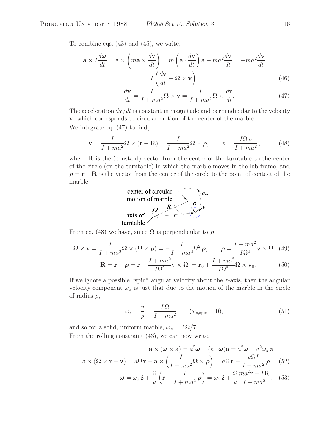To combine eqs. (43) and (45), we write,

$$
\mathbf{a} \times I \frac{d\mathbf{\omega}}{dt} = \mathbf{a} \times \left( m\mathbf{a} \times \frac{d\mathbf{v}}{dt} \right) = m \left( \mathbf{a} \cdot \frac{d\mathbf{v}}{dt} \right) \mathbf{a} - m a^2 \frac{d\mathbf{v}}{dt} = -m a^2 \frac{d\mathbf{v}}{dt}
$$

$$
= I \left( \frac{d\mathbf{v}}{dt} - \mathbf{\Omega} \times \mathbf{v} \right), \tag{46}
$$

$$
\frac{d\mathbf{v}}{dt} = \frac{I}{I + ma^2} \mathbf{\Omega} \times \mathbf{v} = \frac{I}{I + ma^2} \mathbf{\Omega} \times \frac{d\mathbf{r}}{dt}.
$$
 (47)

The acceleration  $d\mathbf{v}/dt$  is constant in magnitude and perpendicular to the velocity **v**, which corresponds to circular motion of the center of the marble. We integrate eq. (47) to find,

$$
\mathbf{v} = \frac{I}{I + ma^2} \mathbf{\Omega} \times (\mathbf{r} - \mathbf{R}) = \frac{I}{I + ma^2} \mathbf{\Omega} \times \boldsymbol{\rho}, \qquad v = \frac{I\Omega \rho}{I + ma^2},
$$
(48)

where  $\bf{R}$  is the (constant) vector from the center of the turntable to the center of the circle (on the turntable) in which the marble moves in the lab frame, and  $\rho = \mathbf{r} - \mathbf{R}$  is the vector from the center of the circle to the point of contact of the marble.



From eq. (48) we have, since  $\Omega$  is perpendicular to  $\rho$ ,

$$
\Omega \times \mathbf{v} = \frac{I}{I + ma^2} \Omega \times (\Omega \times \boldsymbol{\rho}) = -\frac{I}{I + ma^2} \Omega^2 \boldsymbol{\rho}, \qquad \boldsymbol{\rho} = \frac{I + ma^2}{I\Omega^2} \mathbf{v} \times \Omega. \tag{49}
$$

$$
\mathbf{R} = \mathbf{r} - \boldsymbol{\rho} = \mathbf{r} - \frac{I + ma^2}{I\Omega^2} \mathbf{v} \times \boldsymbol{\Omega} = \mathbf{r}_0 + \frac{I + ma^2}{I\Omega^2} \boldsymbol{\Omega} \times \mathbf{v}_0.
$$
 (50)

If we ignore a possible "spin" angular velocity about the z-axis, then the angular velocity component  $\omega_z$  is just that due to the motion of the marble in the circle of radius  $\rho$ ,

$$
\omega_z = \frac{v}{\rho} = \frac{I\,\Omega}{I + ma^2} \qquad (\omega_{z,\text{spin}} = 0),\tag{51}
$$

and so for a solid, uniform marble,  $\omega_z = 2\Omega/7$ . From the rolling constraint (43), we can now write,

$$
\mathbf{a} \times (\boldsymbol{\omega} \times \mathbf{a}) = a^2 \boldsymbol{\omega} - (\mathbf{a} \cdot \boldsymbol{\omega})\mathbf{a} = a^2 \boldsymbol{\omega} - a^2 \omega_z \hat{\mathbf{z}}
$$
  

$$
I = a\Omega \mathbf{r} - \mathbf{a} \times \left(\frac{I}{I + ma^2} \Omega \times \boldsymbol{\rho}\right) = a\Omega \mathbf{r} - \frac{a\Omega I}{I + ma^2} \boldsymbol{\rho}, \quad (52)
$$

$$
= \mathbf{a} \times (\mathbf{\Omega} \times \mathbf{r} - \mathbf{v}) = a\Omega \mathbf{r} - \mathbf{a} \times \left(\frac{1}{I + ma^2} \mathbf{\Omega} \times \boldsymbol{\rho}\right) = a\Omega \mathbf{r} - \frac{a\Omega}{I + ma^2} \boldsymbol{\rho}, \quad (52)
$$

$$
\boldsymbol{\omega} = \omega_z \,\hat{\mathbf{z}} + \frac{\Omega}{a} \left( \mathbf{r} - \frac{I}{I + ma^2} \,\boldsymbol{\rho} \right) = \omega_z \,\hat{\mathbf{z}} + \frac{\Omega}{a} \frac{ma^2 \mathbf{r} + I \mathbf{R}}{I + ma^2} \,. \tag{53}
$$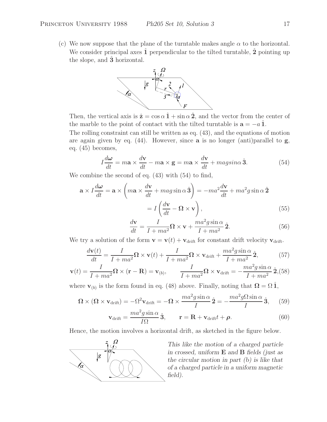(c) We now suppose that the plane of the turntable makes angle  $\alpha$  to the horizontal. We consider principal axes **1** perpendicular to the tilted turntable, **2** pointing up the slope, and **3** horizontal.



Then, the vertical axis is  $\hat{\mathbf{z}} = \cos \alpha \hat{\mathbf{1}} + \sin \alpha \hat{\mathbf{2}}$ , and the vector from the center of the marble to the point of contact with the tilted turntable is  $\mathbf{a} = -a \hat{\mathbf{1}}$ .

The rolling constraint can still be written as eq. (43), and the equations of motion are again given by eq. (44). However, since **a** is no longer (anti)parallel to **g**, eq. (45) becomes,

$$
I\frac{d\omega}{dt} = m\mathbf{a} \times \frac{d\mathbf{v}}{dt} - m\mathbf{a} \times \mathbf{g} = m\mathbf{a} \times \frac{d\mathbf{v}}{dt} + magsin\alpha \hat{\mathbf{3}}.
$$
 (54)

We combine the second of eq. (43) with (54) to find,

$$
\mathbf{a} \times I \frac{d\omega}{dt} = \mathbf{a} \times \left( m\mathbf{a} \times \frac{d\mathbf{v}}{dt} + mag \sin \alpha \hat{\mathbf{3}} \right) = -ma^2 \frac{d\mathbf{v}}{dt} + ma^2 g \sin \alpha \hat{\mathbf{2}} \n= I \left( \frac{d\mathbf{v}}{dt} - \mathbf{\Omega} \times \mathbf{v} \right),
$$
\n(55)

$$
\frac{d\mathbf{v}}{dt} = \frac{I}{I + ma^2} \mathbf{\Omega} \times \mathbf{v} + \frac{ma^2 g \sin \alpha}{I + ma^2} \hat{\mathbf{2}}.
$$
 (56)

We try a solution of the form  $\mathbf{v} = \mathbf{v}(t) + \mathbf{v}_{\text{drift}}$  for constant drift velocity  $\mathbf{v}_{\text{drift}}$ .

$$
\frac{d\mathbf{v}(t)}{dt} = \frac{I}{I + ma^2} \mathbf{\Omega} \times \mathbf{v}(t) + \frac{I}{I + ma^2} \mathbf{\Omega} \times \mathbf{v}_{\text{drift}} + \frac{ma^2 g \sin \alpha}{I + ma^2} \hat{\mathbf{2}},\tag{57}
$$

$$
\mathbf{v}(t) = \frac{I}{I + ma^2} \mathbf{\Omega} \times (\mathbf{r} - \mathbf{R}) = \mathbf{v}_{(b)}, \qquad \frac{I}{I + ma^2} \mathbf{\Omega} \times \mathbf{v}_{\text{drift}} = -\frac{ma^2 g \sin \alpha}{I + ma^2} \hat{\mathbf{2}},
$$
(58)

where  $\mathbf{v}_{(b)}$  is the form found in eq. (48) above. Finally, noting that  $\mathbf{\Omega} = \Omega \hat{\mathbf{1}}$ ,

$$
\Omega \times (\Omega \times \mathbf{v}_{\text{drift}}) = -\Omega^2 \mathbf{v}_{\text{drift}} = -\Omega \times \frac{ma^2 g \sin \alpha}{I} \hat{\mathbf{2}} = -\frac{ma^2 g \Omega \sin \alpha}{I} \hat{\mathbf{3}}, \quad (59)
$$

$$
\mathbf{v}_{\text{drift}} = \frac{ma^2 g \sin \alpha}{I\Omega} \hat{\mathbf{3}}, \qquad \mathbf{r} = \mathbf{R} + \mathbf{v}_{\text{drift}} t + \boldsymbol{\rho}.
$$
 (60)

Hence, the motion involves a horizontal drift, as sketched in the figure below.



*This like the motion of a charged particle in crossed, uniform* **E** *and* **B** *fields (just as the circular motion in part (b) is like that of a charged particle in a uniform magnetic field).*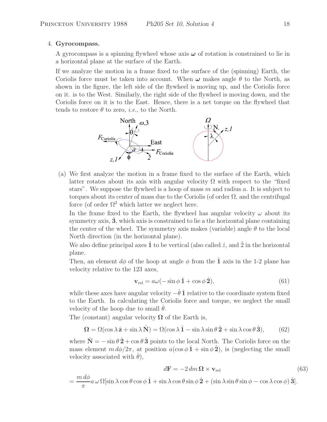## 4. **Gyrocompass.**

A gyrocompass is a spinning flywheel whose axis *ω* of rotation is constrained to lie in a horizontal plane at the surface of the Earth.

If we analyze the motion in a frame fixed to the surface of the (spinning) Earth, the Coriolis force must be taken into account. When  $\omega$  makes angle  $\theta$  to the North, as shown in the figure, the left side of the flywheel is moving up, and the Coriolis force on it. is to the West. Similarly, the right side of the flywheel is moving down, and the Coriolis force on it is to the East. Hence, there is a net torque on the flywheel that tends to restore  $\theta$  to zero, *i.e.*, to the North.



(a) We first analyze the motion in a frame fixed to the surface of the Earth, which latter rotates about its axis with angular velocity  $\Omega$  with respect to the "fixed" stars". We suppose the flywheel is a hoop of mass  $m$  and radius  $a$ . It is subject to torques about its center of mass due to the Coriolis (of order  $\Omega$ , and the centrifugal force (of order  $\Omega^2$  which latter we neglect here.

In the frame fixed to the Earth, the flywheel has angular velocity  $\omega$  about its symmetry axis, **3**, which axis is constrained to lie a the horizontal plane containing the center of the wheel. The symmetry axis makes (variable) angle  $\theta$  to the local North direction (in the horizontal plane).

We also define principal axes  $\hat{1}$  to be vertical (also called  $\hat{z}$ , and  $\hat{2}$  in the horizontal plane.

Then, an element  $d\phi$  of the hoop at angle  $\phi$  from the 1 axis in the 1-2 plane has velocity relative to the 123 axes,

$$
\mathbf{v}_{\rm rel} = a\omega(-\sin\phi \,\hat{\mathbf{1}} + \cos\phi \,\hat{\mathbf{2}}),\tag{61}
$$

while these axes have angular velocity  $-\dot{\theta} \hat{\mathbf{1}}$  relative to the coordinate system fixed to the Earth. In calculating the Coriolis force and torque, we neglect the small velocity of the hoop due to small  $\dot{\theta}$ .

The (constant) angular velocity  $\Omega$  of the Earth is,

$$
\Omega = \Omega(\cos \lambda \hat{\mathbf{z}} + \sin \lambda \hat{\mathbf{N}}) = \Omega(\cos \lambda \hat{\mathbf{1}} - \sin \lambda \sin \theta \hat{\mathbf{2}} + \sin \lambda \cos \theta \hat{\mathbf{3}}),
$$
(62)

where  $\hat{\mathbf{N}} = -\sin \theta \hat{\mathbf{2}} + \cos \theta \hat{\mathbf{3}}$  points to the local North. The Coriolis force on the mass element  $m d\phi/2\pi$ , at position  $a(\cos \phi \hat{\mathbf{1}} + \sin \phi \hat{\mathbf{2}})$ , is (neglecting the small velocity associated with  $\dot{\theta}$ ),

$$
d\mathbf{F} = -2 \, dm \, \mathbf{\Omega} \times \mathbf{v}_{\text{rel}} \tag{63}
$$

$$
= \frac{m d\phi}{\pi} a \omega \Omega[\sin \lambda \cos \theta \cos \phi \hat{\mathbf{1}} + \sin \lambda \cos \theta \sin \phi \hat{\mathbf{2}} + (\sin \lambda \sin \theta \sin \phi - \cos \lambda \cos \phi) \hat{\mathbf{3}}].
$$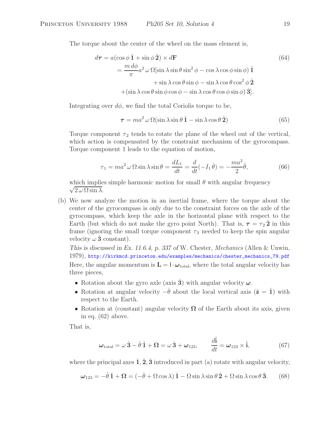The torque about the center of the wheel on the mass element is,

$$
d\tau = a(\cos\phi \,\hat{\mathbf{1}} + \sin\phi \,\hat{\mathbf{2}}) \times d\mathbf{F}
$$
  
= 
$$
\frac{m d\phi}{\pi} a^2 \,\omega \,\Omega[\sin\lambda \sin\theta \sin^2\phi - \cos\lambda \cos\phi \sin\phi) \,\hat{\mathbf{1}} + \sin\lambda \cos\theta \sin\phi - \sin\lambda \cos\theta \cos^2\phi \,\hat{\mathbf{2}} + (\sin\lambda \cos\theta \sin\phi \cos\phi - \sin\lambda \cos\theta \cos\phi \sin\phi) \,\hat{\mathbf{3}}].
$$
 (64)

Integrating over  $d\phi$ , we find the total Coriolis torque to be,

$$
\tau = ma^2 \,\omega \,\Omega(\sin \lambda \sin \theta \,\hat{\mathbf{1}} - \sin \lambda \cos \theta \,\hat{\mathbf{2}}) \tag{65}
$$

Torque component  $\tau_2$  tends to rotate the plane of the wheel out of the vertical, which action is compensated by the constraint mechanism of the gyrocompass. Torque component 1 leads to the equation of motion,

$$
\tau_1 = ma^2 \omega \Omega \sin \lambda \sin \theta = \frac{dL_1}{dt} = \frac{d}{dt}(-I_1 \dot{\theta}) = -\frac{ma^2}{2}\ddot{\theta},\tag{66}
$$

 $\sqrt{2\omega\Omega\sin\lambda}$ . which implies simple harmonic motion for small  $\theta$  with angular frequency

(b) We now analyze the motion in an inertial frame, where the torque about the center of the gyrocompass is only due to the constraint forces on the axle of the gyrocompass, which keep the axle in the horizontal plane with respect to the Earth (but which do not make the gyro point North). That is,  $\tau = \tau_2 \hat{2}$  in this frame (ignoring the small torque component  $\tau_3$  needed to keep the spin angular velocity  $\omega \hat{3}$  constant).

*This is discussed in Ex. 11.6.4, p. 337 of* W. Chester, *Mechanics* (Allen & Unwin, 1979), http://kirkmcd.princeton.edu/examples/mechanics/chester\_mechanics\_79.pdf Here, the angular momentum is  $\mathbf{L} = \mathbf{I} \cdot \boldsymbol{\omega}_{total}$ , where the total angular velocity has three pieces,

- Rotation about the gyro axle (axis  $\hat{3}$ ) with angular velocity  $\omega$ .
- Rotation at angular velocity  $-\dot{\theta}$  about the local vertical axis  $(\hat{\mathbf{z}} = \hat{\mathbf{1}})$  with respect to the Earth.
- Rotation at (constant) angular velocity  $\Omega$  of the Earth about its axis, given in eq. (62) above.

That is,

$$
\boldsymbol{\omega}_{\text{total}} = \omega \,\hat{\mathbf{3}} - \dot{\theta} \,\hat{\mathbf{1}} + \boldsymbol{\Omega} = \omega \,\hat{\mathbf{3}} + \boldsymbol{\omega}_{123}, \qquad \frac{d\hat{\mathbf{i}}}{dt} = \boldsymbol{\omega}_{123} \times \hat{\mathbf{i}}, \tag{67}
$$

where the principal axes  $\hat{1}, \hat{2}, \hat{3}$  introduced in part (a) rotate with angular velocity,

$$
\omega_{123} = -\dot{\theta}\,\hat{\mathbf{1}} + \mathbf{\Omega} = (-\dot{\theta} + \Omega\cos\lambda)\,\hat{\mathbf{1}} - \Omega\sin\lambda\sin\theta\,\hat{\mathbf{2}} + \Omega\sin\lambda\cos\theta\,\hat{\mathbf{3}}.\tag{68}
$$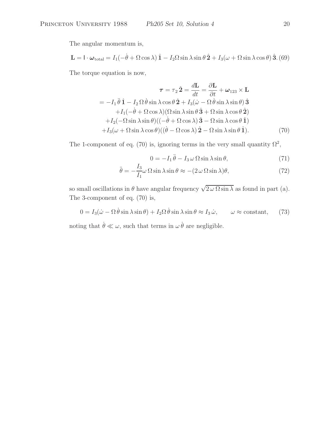The angular momentum is,

$$
\mathbf{L} = \mathbf{I} \cdot \boldsymbol{\omega}_{\text{total}} = I_1(-\dot{\theta} + \Omega \cos \lambda) \hat{\mathbf{1}} - I_2 \Omega \sin \lambda \sin \theta \hat{\mathbf{2}} + I_3(\omega + \Omega \sin \lambda \cos \theta) \hat{\mathbf{3}}. (69)
$$

The torque equation is now,

$$
\tau = \tau_2 \hat{2} = \frac{d\mathbf{L}}{dt} = \frac{\partial \mathbf{L}}{\partial t} + \boldsymbol{\omega}_{123} \times \mathbf{L}
$$
  
=  $-I_1 \ddot{\theta} \hat{\mathbf{1}} - I_2 \Omega \dot{\theta} \sin \lambda \cos \theta \hat{\mathbf{2}} + I_3(\dot{\omega} - \Omega \dot{\theta} \sin \lambda \sin \theta) \hat{\mathbf{3}}$   
+  $I_1(-\dot{\theta} + \Omega \cos \lambda)(\Omega \sin \lambda \sin \theta \hat{\mathbf{3}} + \Omega \sin \lambda \cos \theta \hat{\mathbf{2}})$   
+  $I_2(-\Omega \sin \lambda \sin \theta)((-\dot{\theta} + \Omega \cos \lambda) \hat{\mathbf{3}} - \Omega \sin \lambda \cos \theta \hat{\mathbf{1}})$   
+  $I_3(\omega + \Omega \sin \lambda \cos \theta)((\dot{\theta} - \Omega \cos \lambda) \hat{\mathbf{2}} - \Omega \sin \lambda \sin \theta \hat{\mathbf{1}}).$  (70)

The 1-component of eq. (70) is, ignoring terms in the very small quantity  $\Omega^2$ ,

$$
0 = -I_1 \ddot{\theta} - I_3 \omega \Omega \sin \lambda \sin \theta, \qquad (71)
$$

$$
\ddot{\theta} = -\frac{I_3}{I_1}\omega \,\Omega \sin \lambda \sin \theta \approx -(2\,\omega \,\Omega \sin \lambda)\theta,\tag{72}
$$

so small oscillations in  $\theta$  have angular frequency  $\sqrt{2\omega\Omega\sin\lambda}$  as found in part (a). The 3-component of eq. (70) is,

$$
0 = I_3(\dot{\omega} - \Omega \dot{\theta} \sin \lambda \sin \theta) + I_2 \Omega \dot{\theta} \sin \lambda \sin \theta \approx I_3 \dot{\omega}, \qquad \omega \approx \text{constant}, \qquad (73)
$$

noting that  $\dot{\theta} \ll \omega$ , such that terms in  $\omega \dot{\theta}$  are negligible.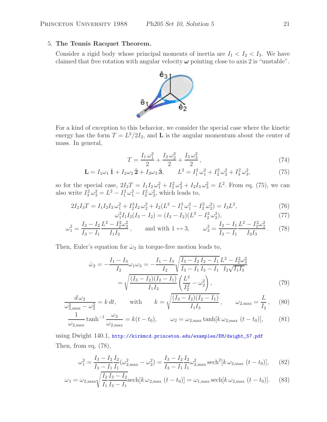# 5. **The Tennis Racquet Theorem.**

Consider a rigid body whose principal moments of inertia are  $I_1 < I_2 < I_3$ . We have claimed that free rotation with angular velocity  $\omega$  pointing close to axis 2 is "unstable".



For a kind of exception to this behavior, we consider the special case where the kinetic energy has the form  $T = L^2/2I_2$ , and **L** is the angular momentum about the center of mass. In general,

$$
T = \frac{I_1 \omega_1^2}{2} + \frac{I_2 \omega_2^2}{2} + \frac{I_3 \omega_3^2}{2},
$$
\n(74)

$$
\mathbf{L} = I_1 \omega_1 \hat{\mathbf{1}} + I_2 \omega_2 \hat{\mathbf{2}} + I_3 \omega_3 \hat{\mathbf{3}}, \qquad L^2 = I_1^2 \omega_1^2 + I_2^2 \omega_2^2 + I_3^2 \omega_3^2,\tag{75}
$$

so for the special case,  $2I_2T = I_1I_2\omega_1^2 + I_2^2\omega_2^2 + I_2I_3\omega_3^2 = L^2$ . From eq. (75), we can also write  $I_3^2 \omega_3^2 = L^2 - I_1^2 \omega_1^2 - I_2^2 \omega_2^2$ , which leads to,

$$
2I_2I_3T = I_1I_2I_3\omega_1^2 + I_2^2I_2\omega_2^2 + I_2(L^2 - I_1^2\omega_1^2 - I_2^2\omega_2^2) = I_3L^2,
$$
  
\n
$$
\omega_1^2I_1I_2(I_3 - I_2) = (I_3 - I_2)(L^2 - I_2^2\omega_2^2),
$$
\n(77)

$$
J_1^2 I_1 I_2 (I_3 - I_2) = (I_3 - I_2)(L^2 - I_2^2 \omega_2^2),
$$
\n(77)

$$
\omega_1^2 = \frac{I_3 - I_2}{I_3 - I_1} \frac{L^2 - I_2^2 \omega_2^2}{I_1 I_2}, \quad \text{and with } 1 \leftrightarrow 3, \qquad \omega_3^2 = \frac{I_2 - I_1}{I_3 - I_1} \frac{L^2 - I_2^2 \omega_2^2}{I_2 I_3}. \tag{78}
$$

Then, Euler's equation for  $\dot{\omega}_2$  in torque-free motion leads to,

$$
\dot{\omega}_2 = -\frac{I_1 - I_3}{I_2} \omega_1 \omega_3 = -\frac{I_1 - I_3}{I_2} \sqrt{\frac{I_3 - I_2 I_2 - I_1}{I_3 - I_1} \frac{L^2 - I_2^2 \omega_2^2}{I_2 \sqrt{I_1 I_3}}} \\
= \sqrt{\frac{(I_3 - I_2)(I_2 - I_1)}{I_1 I_3} \left(\frac{L^2}{I_2^2} - \omega_2^2\right)},
$$
\n(79)

$$
\frac{d\,\omega_2}{\omega_{2,\text{max}}^2 - \omega_2^2} = k dt, \qquad \text{with} \qquad k = \sqrt{\frac{(I_3 - I_2)(I_2 - I_1)}{I_1 I_3}}, \qquad \omega_{2,\text{max}} = \frac{L}{I_2}, \tag{80}
$$

$$
\frac{1}{\omega_{2,\max}} \tanh^{-1} \frac{\omega_2}{\omega_{2,\max}} = k(t - t_0), \qquad \omega_2 = \omega_{2,\max} \tanh[k \omega_{2,\max} (t - t_0)], \qquad (81)
$$

using Dwight 140.1, http://kirkmcd.princeton.edu/examples/EM/dwight\_57.pdf Then, from eq. (78),

$$
\omega_1^2 = \frac{I_3 - I_2 I_2}{I_3 - I_1 I_1} (\omega_{2,\text{max}}^2 - \omega_2^2) = \frac{I_3 - I_2 I_2}{I_3 - I_1 I_1} \omega_{2,\text{max}}^2 \operatorname{sech}^2[k \omega_{2,\text{max}} (t - t_0)],\tag{82}
$$

$$
\omega_1 = \omega_{2,\max} \sqrt{\frac{I_2 I_3 - I_2}{I_1 I_3 - I_1}} \text{sech}[k \omega_{2,\max} (t - t_0)] = \omega_{1,\max} \text{sech}[k \omega_{2,\max} (t - t_0)]. \tag{83}
$$